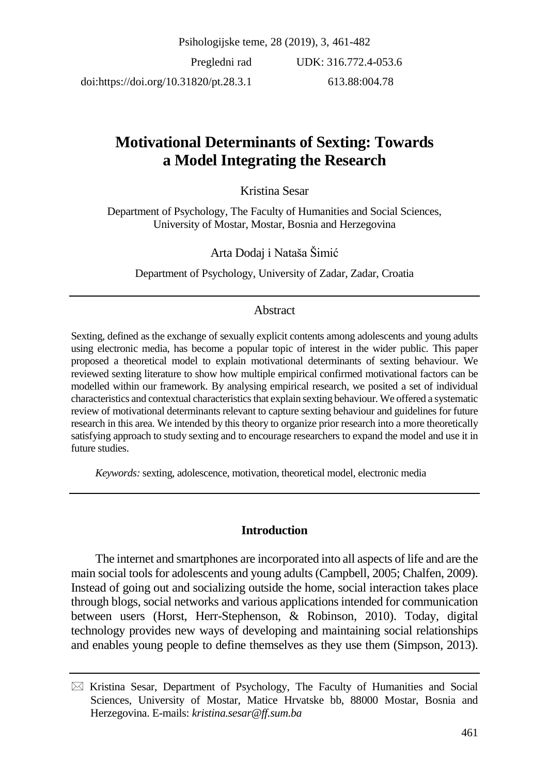# **Motivational Determinants of Sexting: Towards a Model Integrating the Research**

Kristina Sesar

Department of Psychology, The Faculty of Humanities and Social Sciences, University of Mostar, Mostar, Bosnia and Herzegovina

Arta Dodaj i Nataša Šimić

Department of Psychology, University of Zadar, Zadar, Croatia

## Abstract

Sexting, defined as the exchange of sexually explicit contents among adolescents and young adults using electronic media, has become a popular topic of interest in the wider public. This paper proposed a theoretical model to explain motivational determinants of sexting behaviour. We reviewed sexting literature to show how multiple empirical confirmed motivational factors can be modelled within our framework. By analysing empirical research, we posited a set of individual characteristics and contextual characteristics that explain sexting behaviour. We offered a systematic review of motivational determinants relevant to capture sexting behaviour and guidelines for future research in this area. We intended by this theory to organize prior research into a more theoretically satisfying approach to study sexting and to encourage researchers to expand the model and use it in future studies.

*Keywords:* sexting, adolescence, motivation, theoretical model, electronic media

## **Introduction**

The internet and smartphones are incorporated into all aspects of life and are the main social tools for adolescents and young adults (Campbell, 2005; Chalfen, 2009). Instead of going out and socializing outside the home, social interaction takes place through blogs, social networks and various applicationsintended for communication between users (Horst, Herr-Stephenson, & Robinson, 2010). Today, digital technology provides new ways of developing and maintaining social relationships and enables young people to define themselves as they use them (Simpson, 2013).

 $\boxtimes$  Kristina Sesar, Department of Psychology, The Faculty of Humanities and Social Sciences, University of Mostar, Matice Hrvatske bb, 88000 Mostar, Bosnia and Herzegovina. E-mails: *kristina.sesar@ff.sum.ba*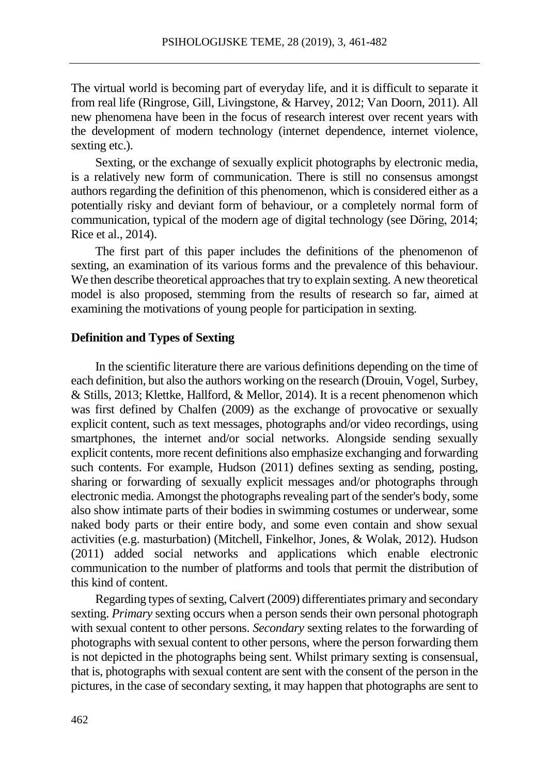The virtual world is becoming part of everyday life, and it is difficult to separate it from real life (Ringrose, Gill, Livingstone, & Harvey, 2012; Van Doorn, 2011). All new phenomena have been in the focus of research interest over recent years with the development of modern technology (internet dependence, internet violence, sexting etc.).

Sexting, or the exchange of sexually explicit photographs by electronic media, is a relatively new form of communication. There is still no consensus amongst authors regarding the definition of this phenomenon, which is considered either as a potentially risky and deviant form of behaviour, or a completely normal form of communication, typical of the modern age of digital technology (see Döring, 2014; Rice et al., 2014).

The first part of this paper includes the definitions of the phenomenon of sexting, an examination of its various forms and the prevalence of this behaviour. We then describe theoretical approaches that try to explain sexting. A new theoretical model is also proposed, stemming from the results of research so far, aimed at examining the motivations of young people for participation in sexting.

#### **Definition and Types of Sexting**

In the scientific literature there are various definitions depending on the time of each definition, but also the authors working on the research (Drouin, Vogel, Surbey, & Stills, 2013; Klettke, Hallford, & Mellor, 2014). It is a recent phenomenon which was first defined by Chalfen (2009) as the exchange of provocative or sexually explicit content, such as text messages, photographs and/or video recordings, using smartphones, the internet and/or social networks. Alongside sending sexually explicit contents, more recent definitions also emphasize exchanging and forwarding such contents. For example, Hudson (2011) defines sexting as sending, posting, sharing or forwarding of sexually explicit messages and/or photographs through electronic media. Amongst the photographs revealing part of the sender's body, some also show intimate parts of their bodies in swimming costumes or underwear, some naked body parts or their entire body, and some even contain and show sexual activities (e.g. masturbation) (Mitchell, Finkelhor, Jones, & Wolak, 2012). Hudson (2011) added social networks and applications which enable electronic communication to the number of platforms and tools that permit the distribution of this kind of content.

Regarding types of sexting, Calvert (2009) differentiates primary and secondary sexting. *Primary* sexting occurs when a person sends their own personal photograph with sexual content to other persons. *Secondary* sexting relates to the forwarding of photographs with sexual content to other persons, where the person forwarding them is not depicted in the photographs being sent. Whilst primary sexting is consensual, that is, photographs with sexual content are sent with the consent of the person in the pictures, in the case of secondary sexting, it may happen that photographs are sent to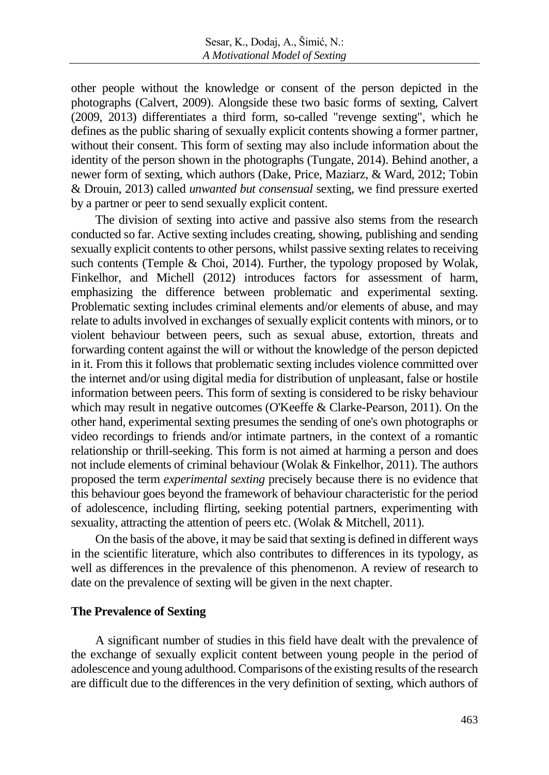other people without the knowledge or consent of the person depicted in the photographs (Calvert, 2009). Alongside these two basic forms of sexting, Calvert (2009, 2013) differentiates a third form, so-called "revenge sexting", which he defines as the public sharing of sexually explicit contents showing a former partner, without their consent. This form of sexting may also include information about the identity of the person shown in the photographs (Tungate, 2014). Behind another, a newer form of sexting, which authors (Dake, Price, Maziarz, & Ward, 2012; Tobin & Drouin, 2013) called *unwanted but consensual* sexting, we find pressure exerted by a partner or peer to send sexually explicit content.

The division of sexting into active and passive also stems from the research conducted so far. Active sexting includes creating, showing, publishing and sending sexually explicit contents to other persons, whilst passive sexting relates to receiving such contents (Temple & Choi, 2014). Further, the typology proposed by Wolak, Finkelhor, and Michell (2012) introduces factors for assessment of harm, emphasizing the difference between problematic and experimental sexting. Problematic sexting includes criminal elements and/or elements of abuse, and may relate to adults involved in exchanges of sexually explicit contents with minors, or to violent behaviour between peers, such as sexual abuse, extortion, threats and forwarding content against the will or without the knowledge of the person depicted in it. From this it follows that problematic sexting includes violence committed over the internet and/or using digital media for distribution of unpleasant, false or hostile information between peers. This form of sexting is considered to be risky behaviour which may result in negative outcomes (O'Keeffe & Clarke-Pearson, 2011). On the other hand, experimental sexting presumes the sending of one's own photographs or video recordings to friends and/or intimate partners, in the context of a romantic relationship or thrill-seeking. This form is not aimed at harming a person and does not include elements of criminal behaviour (Wolak & Finkelhor, 2011). The authors proposed the term *experimental sexting* precisely because there is no evidence that this behaviour goes beyond the framework of behaviour characteristic for the period of adolescence, including flirting, seeking potential partners, experimenting with sexuality, attracting the attention of peers etc. (Wolak & Mitchell, 2011).

On the basis of the above, it may be said that sexting is defined in different ways in the scientific literature, which also contributes to differences in its typology, as well as differences in the prevalence of this phenomenon. A review of research to date on the prevalence of sexting will be given in the next chapter.

### **The Prevalence of Sexting**

A significant number of studies in this field have dealt with the prevalence of the exchange of sexually explicit content between young people in the period of adolescence and young adulthood. Comparisons of the existing results of the research are difficult due to the differences in the very definition of sexting, which authors of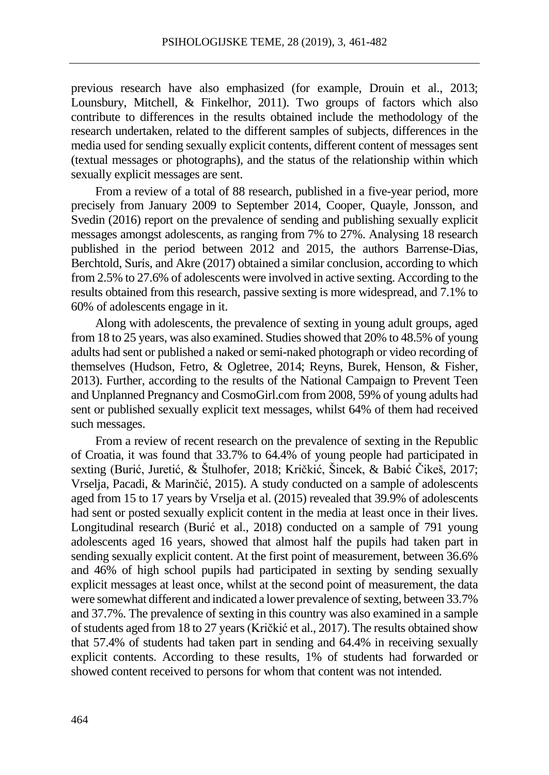previous research have also emphasized (for example, Drouin et al., 2013; Lounsbury, Mitchell, & Finkelhor, 2011). Two groups of factors which also contribute to differences in the results obtained include the methodology of the research undertaken, related to the different samples of subjects, differences in the media used for sending sexually explicit contents, different content of messages sent (textual messages or photographs), and the status of the relationship within which sexually explicit messages are sent.

From a review of a total of 88 research, published in a five-year period, more precisely from January 2009 to September 2014, Cooper, Quayle, Jonsson, and Svedin (2016) report on the prevalence of sending and publishing sexually explicit messages amongst adolescents, as ranging from 7% to 27%. Analysing 18 research published in the period between 2012 and 2015, the authors Barrense-Dias, Berchtold, Surís, and Akre (2017) obtained a similar conclusion, according to which from 2.5% to 27.6% of adolescents were involved in active sexting. According to the results obtained from this research, passive sexting is more widespread, and 7.1% to 60% of adolescents engage in it.

Along with adolescents, the prevalence of sexting in young adult groups, aged from 18 to 25 years, was also examined. Studies showed that 20% to 48.5% of young adults had sent or published a naked or semi-naked photograph or video recording of themselves (Hudson, Fetro, & Ogletree, 2014; Reyns, Burek, Henson, & Fisher, 2013). Further, according to the results of the National Campaign to Prevent Teen and Unplanned Pregnancy and CosmoGirl.com from 2008, 59% of young adults had sent or published sexually explicit text messages, whilst 64% of them had received such messages.

From a review of recent research on the prevalence of sexting in the Republic of Croatia, it was found that 33.7% to 64.4% of young people had participated in sexting (Burić, Juretić, & Štulhofer, 2018; Kričkić, Šincek, & Babić Čikeš, 2017; Vrselja, Pacadi, & Marinčić, 2015). A study conducted on a sample of adolescents aged from 15 to 17 years by Vrselja et al. (2015) revealed that 39.9% of adolescents had sent or posted sexually explicit content in the media at least once in their lives. Longitudinal research (Burić et al., 2018) conducted on a sample of 791 young adolescents aged 16 years, showed that almost half the pupils had taken part in sending sexually explicit content. At the first point of measurement, between 36.6% and 46% of high school pupils had participated in sexting by sending sexually explicit messages at least once, whilst at the second point of measurement, the data were somewhat different and indicated a lower prevalence of sexting, between 33.7% and 37.7%. The prevalence of sexting in this country was also examined in a sample of students aged from 18 to 27 years (Kričkić et al., 2017). The results obtained show that 57.4% of students had taken part in sending and 64.4% in receiving sexually explicit contents. According to these results, 1% of students had forwarded or showed content received to persons for whom that content was not intended.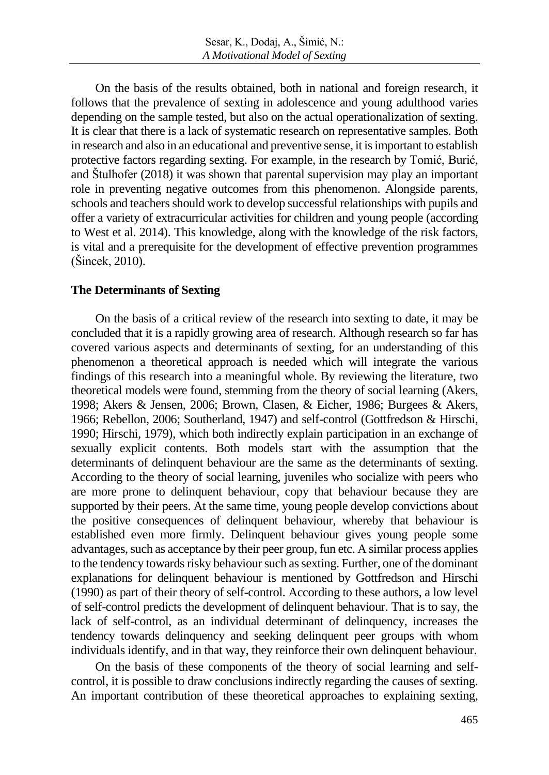On the basis of the results obtained, both in national and foreign research, it follows that the prevalence of sexting in adolescence and young adulthood varies depending on the sample tested, but also on the actual operationalization of sexting. It is clear that there is a lack of systematic research on representative samples. Both in research and also in an educational and preventive sense, it isimportant to establish protective factors regarding sexting. For example, in the research by Tomić, Burić, and Štulhofer (2018) it was shown that parental supervision may play an important role in preventing negative outcomes from this phenomenon. Alongside parents, schools and teachers should work to develop successful relationships with pupils and offer a variety of extracurricular activities for children and young people (according to West et al. 2014). This knowledge, along with the knowledge of the risk factors, is vital and a prerequisite for the development of effective prevention programmes (Šincek, 2010).

#### **The Determinants of Sexting**

On the basis of a critical review of the research into sexting to date, it may be concluded that it is a rapidly growing area of research. Although research so far has covered various aspects and determinants of sexting, for an understanding of this phenomenon a theoretical approach is needed which will integrate the various findings of this research into a meaningful whole. By reviewing the literature, two theoretical models were found, stemming from the theory of social learning (Akers, 1998; Akers & Jensen, 2006; Brown, Clasen, & Eicher, 1986; Burgees & Akers, 1966; Rebellon, 2006; Southerland, 1947) and self-control (Gottfredson & Hirschi, 1990; Hirschi, 1979), which both indirectly explain participation in an exchange of sexually explicit contents. Both models start with the assumption that the determinants of delinquent behaviour are the same as the determinants of sexting. According to the theory of social learning, juveniles who socialize with peers who are more prone to delinquent behaviour, copy that behaviour because they are supported by their peers. At the same time, young people develop convictions about the positive consequences of delinquent behaviour, whereby that behaviour is established even more firmly. Delinquent behaviour gives young people some advantages, such as acceptance by their peer group, fun etc. A similar process applies to the tendency towards risky behaviour such as sexting. Further, one of the dominant explanations for delinquent behaviour is mentioned by Gottfredson and Hirschi (1990) as part of their theory of self-control. According to these authors, a low level of self-control predicts the development of delinquent behaviour. That is to say, the lack of self-control, as an individual determinant of delinquency, increases the tendency towards delinquency and seeking delinquent peer groups with whom individuals identify, and in that way, they reinforce their own delinquent behaviour.

On the basis of these components of the theory of social learning and selfcontrol, it is possible to draw conclusions indirectly regarding the causes of sexting. An important contribution of these theoretical approaches to explaining sexting,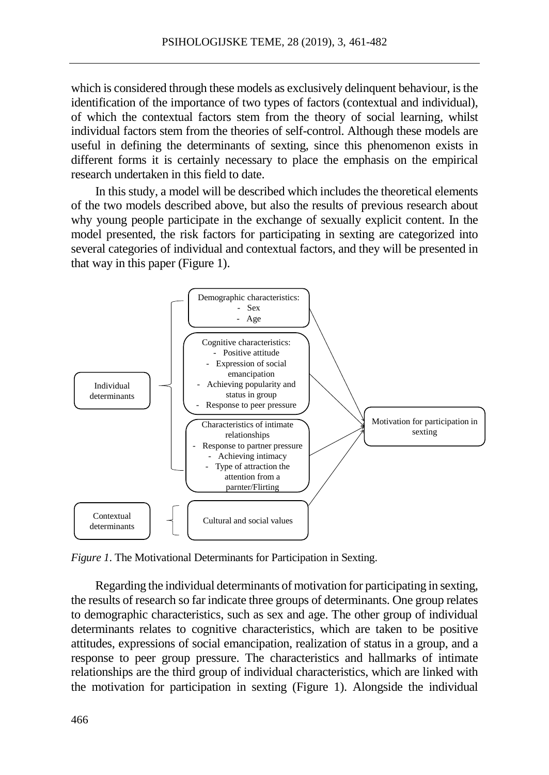which is considered through these models as exclusively delinquent behaviour, is the identification of the importance of two types of factors (contextual and individual), of which the contextual factors stem from the theory of social learning, whilst individual factors stem from the theories of self-control. Although these models are useful in defining the determinants of sexting, since this phenomenon exists in different forms it is certainly necessary to place the emphasis on the empirical research undertaken in this field to date.

In this study, a model will be described which includes the theoretical elements of the two models described above, but also the results of previous research about why young people participate in the exchange of sexually explicit content. In the model presented, the risk factors for participating in sexting are categorized into several categories of individual and contextual factors, and they will be presented in that way in this paper (Figure 1).



*Figure 1*. The Motivational Determinants for Participation in Sexting.

Regarding the individual determinants of motivation for participating in sexting, the results of research so far indicate three groups of determinants. One group relates to demographic characteristics, such as sex and age. The other group of individual determinants relates to cognitive characteristics, which are taken to be positive attitudes, expressions of social emancipation, realization of status in a group, and a response to peer group pressure. The characteristics and hallmarks of intimate relationships are the third group of individual characteristics, which are linked with the motivation for participation in sexting (Figure 1). Alongside the individual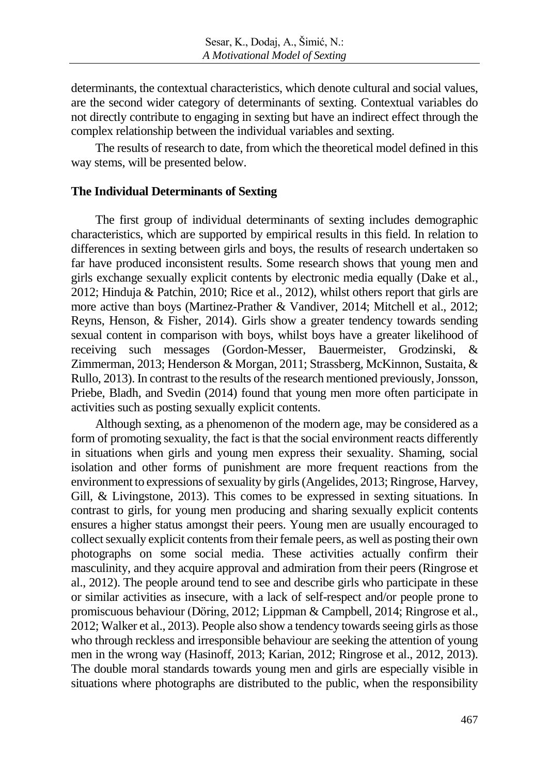determinants, the contextual characteristics, which denote cultural and social values, are the second wider category of determinants of sexting. Contextual variables do not directly contribute to engaging in sexting but have an indirect effect through the complex relationship between the individual variables and sexting.

The results of research to date, from which the theoretical model defined in this way stems, will be presented below.

#### **The Individual Determinants of Sexting**

The first group of individual determinants of sexting includes demographic characteristics, which are supported by empirical results in this field. In relation to differences in sexting between girls and boys, the results of research undertaken so far have produced inconsistent results. Some research shows that young men and girls exchange sexually explicit contents by electronic media equally (Dake et al., 2012; Hinduja & Patchin, 2010; Rice et al., 2012), whilst others report that girls are more active than boys (Martinez-Prather & Vandiver, 2014; Mitchell et al., 2012; Reyns, Henson, & Fisher, 2014). Girls show a greater tendency towards sending sexual content in comparison with boys, whilst boys have a greater likelihood of receiving such messages (Gordon-Messer, Bauermeister, Grodzinski, & Zimmerman, 2013; Henderson & Morgan, 2011; Strassberg, McKinnon, Sustaita, & Rullo, 2013). In contrast to the results of the research mentioned previously,Jonsson, Priebe, Bladh, and Svedin (2014) found that young men more often participate in activities such as posting sexually explicit contents.

Although sexting, as a phenomenon of the modern age, may be considered as a form of promoting sexuality, the fact is that the social environment reacts differently in situations when girls and young men express their sexuality. Shaming, social isolation and other forms of punishment are more frequent reactions from the environment to expressions of sexuality by girls (Angelides, 2013; Ringrose, Harvey, Gill, & Livingstone, 2013). This comes to be expressed in sexting situations. In contrast to girls, for young men producing and sharing sexually explicit contents ensures a higher status amongst their peers. Young men are usually encouraged to collect sexually explicit contents from their female peers, as well as posting their own photographs on some social media. These activities actually confirm their masculinity, and they acquire approval and admiration from their peers (Ringrose et al., 2012). The people around tend to see and describe girls who participate in these or similar activities as insecure, with a lack of self-respect and/or people prone to promiscuous behaviour (Döring, 2012; Lippman & Campbell, 2014; Ringrose et al., 2012; Walker et al., 2013). People also show a tendency towards seeing girls as those who through reckless and irresponsible behaviour are seeking the attention of young men in the wrong way (Hasinoff, 2013; Karian, 2012; Ringrose et al., 2012, 2013). The double moral standards towards young men and girls are especially visible in situations where photographs are distributed to the public, when the responsibility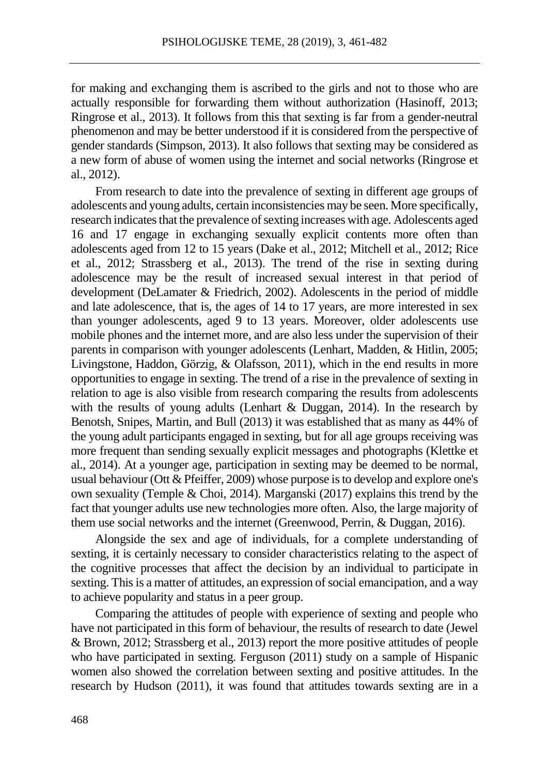for making and exchanging them is ascribed to the girls and not to those who are actually responsible for forwarding them without authorization (Hasinoff, 2013; Ringrose et al., 2013). It follows from this that sexting is far from a gender-neutral phenomenon and may be better understood if it is considered from the perspective of gender standards (Simpson, 2013). It also follows that sexting may be considered as a new form of abuse of women using the internet and social networks (Ringrose et al., 2012).

From research to date into the prevalence of sexting in different age groups of adolescents and young adults, certain inconsistencies may be seen. More specifically, research indicates that the prevalence of sexting increases with age. Adolescents aged 16 and 17 engage in exchanging sexually explicit contents more often than adolescents aged from 12 to 15 years (Dake et al., 2012; Mitchell et al., 2012; Rice et al., 2012; Strassberg et al., 2013). The trend of the rise in sexting during adolescence may be the result of increased sexual interest in that period of development (DeLamater & Friedrich, 2002). Adolescents in the period of middle and late adolescence, that is, the ages of 14 to 17 years, are more interested in sex than younger adolescents, aged 9 to 13 years. Moreover, older adolescents use mobile phones and the internet more, and are also less under the supervision of their parents in comparison with younger adolescents (Lenhart, Madden, & Hitlin, 2005; Livingstone, Haddon, Görzig, & Olafsson, 2011), which in the end results in more opportunities to engage in sexting. The trend of a rise in the prevalence of sexting in relation to age is also visible from research comparing the results from adolescents with the results of young adults (Lenhart & Duggan, 2014). In the research by Benotsh, Snipes, Martin, and Bull (2013) it was established that as many as 44% of the young adult participants engaged in sexting, but for all age groups receiving was more frequent than sending sexually explicit messages and photographs (Klettke et al., 2014). At a younger age, participation in sexting may be deemed to be normal, usual behaviour (Ott & Pfeiffer, 2009) whose purpose isto develop and explore one's own sexuality (Temple & Choi, 2014). Marganski (2017) explains this trend by the fact that younger adults use new technologies more often. Also, the large majority of them use social networks and the internet (Greenwood, Perrin, & Duggan, 2016).

Alongside the sex and age of individuals, for a complete understanding of sexting, it is certainly necessary to consider characteristics relating to the aspect of the cognitive processes that affect the decision by an individual to participate in sexting. This is a matter of attitudes, an expression of social emancipation, and a way to achieve popularity and status in a peer group.

Comparing the attitudes of people with experience of sexting and people who have not participated in this form of behaviour, the results of research to date (Jewel & Brown, 2012; Strassberg et al., 2013) report the more positive attitudes of people who have participated in sexting. Ferguson (2011) study on a sample of Hispanic women also showed the correlation between sexting and positive attitudes. In the research by Hudson (2011), it was found that attitudes towards sexting are in a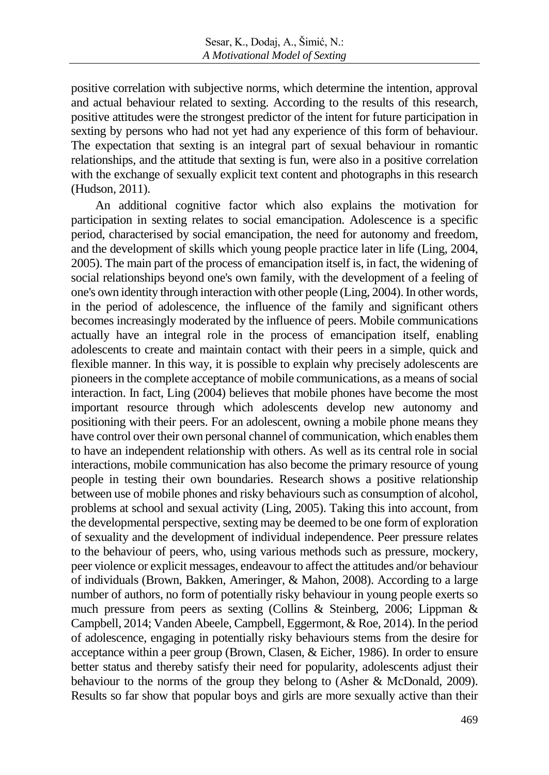positive correlation with subjective norms, which determine the intention, approval and actual behaviour related to sexting. According to the results of this research, positive attitudes were the strongest predictor of the intent for future participation in sexting by persons who had not yet had any experience of this form of behaviour. The expectation that sexting is an integral part of sexual behaviour in romantic relationships, and the attitude that sexting is fun, were also in a positive correlation with the exchange of sexually explicit text content and photographs in this research (Hudson, 2011).

An additional cognitive factor which also explains the motivation for participation in sexting relates to social emancipation. Adolescence is a specific period, characterised by social emancipation, the need for autonomy and freedom, and the development of skills which young people practice later in life (Ling, 2004, 2005). The main part of the process of emancipation itself is, in fact, the widening of social relationships beyond one's own family, with the development of a feeling of one's own identity through interaction with other people (Ling,  $2004$ ). In other words, in the period of adolescence, the influence of the family and significant others becomes increasingly moderated by the influence of peers. Mobile communications actually have an integral role in the process of emancipation itself, enabling adolescents to create and maintain contact with their peers in a simple, quick and flexible manner. In this way, it is possible to explain why precisely adolescents are pioneers in the complete acceptance of mobile communications, as a means of social interaction. In fact, Ling (2004) believes that mobile phones have become the most important resource through which adolescents develop new autonomy and positioning with their peers. For an adolescent, owning a mobile phone means they have control over their own personal channel of communication, which enables them to have an independent relationship with others. As well as its central role in social interactions, mobile communication has also become the primary resource of young people in testing their own boundaries. Research shows a positive relationship between use of mobile phones and risky behaviours such as consumption of alcohol, problems at school and sexual activity (Ling, 2005). Taking this into account, from the developmental perspective, sexting may be deemed to be one form of exploration of sexuality and the development of individual independence. Peer pressure relates to the behaviour of peers, who, using various methods such as pressure, mockery, peer violence or explicit messages, endeavour to affect the attitudes and/or behaviour of individuals (Brown, Bakken, Ameringer, & Mahon, 2008). According to a large number of authors, no form of potentially risky behaviour in young people exerts so much pressure from peers as sexting (Collins & Steinberg, 2006; Lippman & Campbell, 2014; Vanden Abeele, Campbell, Eggermont, & Roe, 2014). In the period of adolescence, engaging in potentially risky behaviours stems from the desire for acceptance within a peer group (Brown, Clasen, & Eicher, 1986). In order to ensure better status and thereby satisfy their need for popularity, adolescents adjust their behaviour to the norms of the group they belong to (Asher & McDonald, 2009). Results so far show that popular boys and girls are more sexually active than their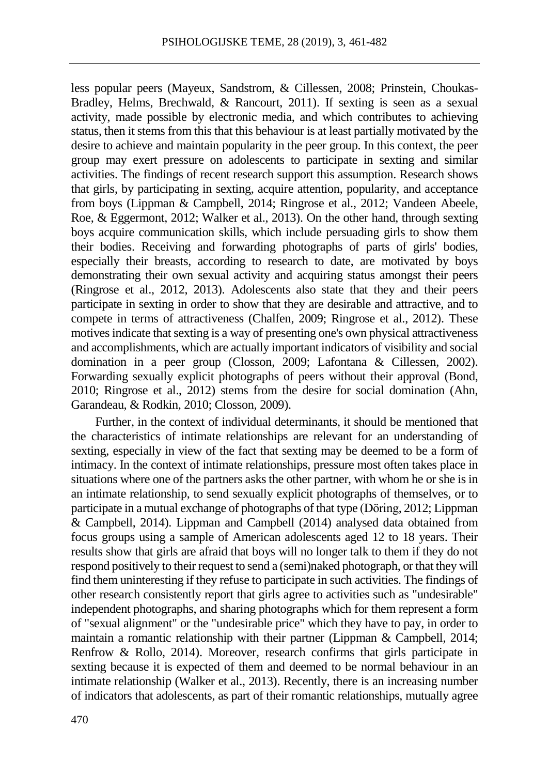less popular peers (Mayeux, Sandstrom, & Cillessen, 2008; Prinstein, Choukas-Bradley, Helms, Brechwald, & Rancourt, 2011). If sexting is seen as a sexual activity, made possible by electronic media, and which contributes to achieving status, then it stems from this that this behaviour is at least partially motivated by the desire to achieve and maintain popularity in the peer group. In this context, the peer group may exert pressure on adolescents to participate in sexting and similar activities. The findings of recent research support this assumption. Research shows that girls, by participating in sexting, acquire attention, popularity, and acceptance from boys (Lippman & Campbell, 2014; Ringrose et al., 2012; Vandeen Abeele, Roe, & Eggermont, 2012; Walker et al., 2013). On the other hand, through sexting boys acquire communication skills, which include persuading girls to show them their bodies. Receiving and forwarding photographs of parts of girls' bodies, especially their breasts, according to research to date, are motivated by boys demonstrating their own sexual activity and acquiring status amongst their peers (Ringrose et al., 2012, 2013). Adolescents also state that they and their peers participate in sexting in order to show that they are desirable and attractive, and to compete in terms of attractiveness (Chalfen, 2009; Ringrose et al., 2012). These motives indicate that sexting is a way of presenting one's own physical attractiveness and accomplishments, which are actually important indicators of visibility and social domination in a peer group (Closson, 2009; Lafontana & Cillessen, 2002). Forwarding sexually explicit photographs of peers without their approval (Bond, 2010; Ringrose et al., 2012) stems from the desire for social domination (Ahn, Garandeau, & Rodkin, 2010; Closson, 2009).

Further, in the context of individual determinants, it should be mentioned that the characteristics of intimate relationships are relevant for an understanding of sexting, especially in view of the fact that sexting may be deemed to be a form of intimacy. In the context of intimate relationships, pressure most often takes place in situations where one of the partners asks the other partner, with whom he or she is in an intimate relationship, to send sexually explicit photographs of themselves, or to participate in a mutual exchange of photographs of that type (Döring, 2012; Lippman & Campbell, 2014). Lippman and Campbell (2014) analysed data obtained from focus groups using a sample of American adolescents aged 12 to 18 years. Their results show that girls are afraid that boys will no longer talk to them if they do not respond positively to their request to send a (semi)naked photograph, or that they will find them uninteresting if they refuse to participate in such activities. The findings of other research consistently report that girls agree to activities such as "undesirable" independent photographs, and sharing photographs which for them represent a form of "sexual alignment" or the "undesirable price" which they have to pay, in order to maintain a romantic relationship with their partner (Lippman & Campbell, 2014; Renfrow & Rollo, 2014). Moreover, research confirms that girls participate in sexting because it is expected of them and deemed to be normal behaviour in an intimate relationship (Walker et al., 2013). Recently, there is an increasing number of indicators that adolescents, as part of their romantic relationships, mutually agree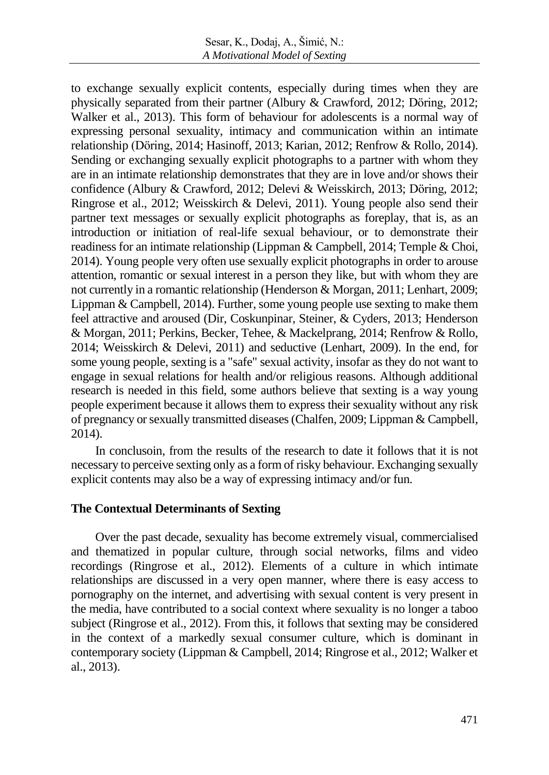to exchange sexually explicit contents, especially during times when they are physically separated from their partner (Albury & Crawford, 2012; Döring, 2012; Walker et al., 2013). This form of behaviour for adolescents is a normal way of expressing personal sexuality, intimacy and communication within an intimate relationship (Döring, 2014; Hasinoff, 2013; Karian, 2012; Renfrow & Rollo, 2014). Sending or exchanging sexually explicit photographs to a partner with whom they are in an intimate relationship demonstrates that they are in love and/or shows their confidence (Albury & Crawford, 2012; Delevi & Weisskirch, 2013; Döring, 2012; Ringrose et al., 2012; Weisskirch & Delevi, 2011). Young people also send their partner text messages or sexually explicit photographs as foreplay, that is, as an introduction or initiation of real-life sexual behaviour, or to demonstrate their readiness for an intimate relationship (Lippman & Campbell, 2014; Temple & Choi, 2014). Young people very often use sexually explicit photographs in order to arouse attention, romantic or sexual interest in a person they like, but with whom they are not currently in a romantic relationship (Henderson & Morgan, 2011; Lenhart, 2009; Lippman & Campbell, 2014). Further, some young people use sexting to make them feel attractive and aroused (Dir, Coskunpinar, Steiner, & Cyders, 2013; Henderson & Morgan, 2011; Perkins, Becker, Tehee, & Mackelprang, 2014; Renfrow & Rollo, 2014; Weisskirch & Delevi, 2011) and seductive (Lenhart, 2009). In the end, for some young people, sexting is a "safe" sexual activity, insofar as they do not want to engage in sexual relations for health and/or religious reasons. Although additional research is needed in this field, some authors believe that sexting is a way young people experiment because it allows them to express their sexuality without any risk of pregnancy orsexually transmitted diseases(Chalfen, 2009; Lippman & Campbell, 2014).

In conclusoin, from the results of the research to date it follows that it is not necessary to perceive sexting only as a form of risky behaviour. Exchanging sexually explicit contents may also be a way of expressing intimacy and/or fun.

#### **The Contextual Determinants of Sexting**

Over the past decade, sexuality has become extremely visual, commercialised and thematized in popular culture, through social networks, films and video recordings (Ringrose et al., 2012). Elements of a culture in which intimate relationships are discussed in a very open manner, where there is easy access to pornography on the internet, and advertising with sexual content is very present in the media, have contributed to a social context where sexuality is no longer a taboo subject (Ringrose et al., 2012). From this, it follows that sexting may be considered in the context of a markedly sexual consumer culture, which is dominant in contemporary society (Lippman & Campbell, 2014; Ringrose et al., 2012; Walker et al., 2013).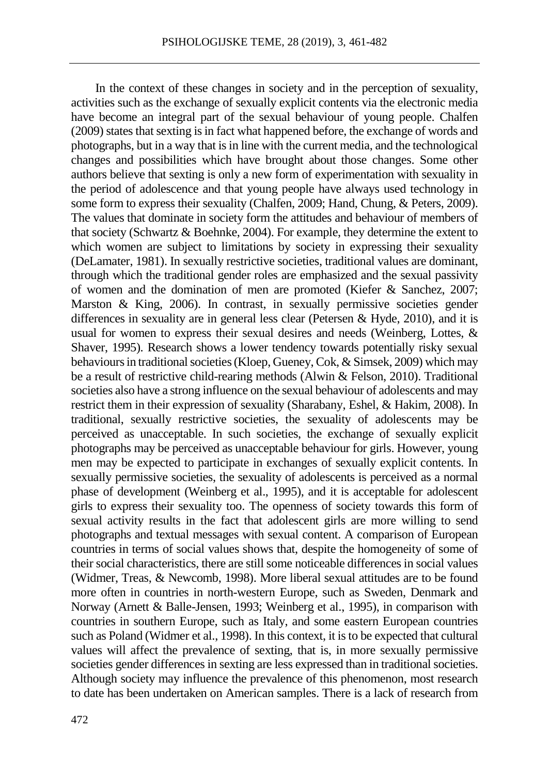In the context of these changes in society and in the perception of sexuality, activities such as the exchange of sexually explicit contents via the electronic media have become an integral part of the sexual behaviour of young people. Chalfen (2009) states that sexting is in fact what happened before, the exchange of words and photographs, but in a way that isin line with the current media, and the technological changes and possibilities which have brought about those changes. Some other authors believe that sexting is only a new form of experimentation with sexuality in the period of adolescence and that young people have always used technology in some form to express their sexuality (Chalfen, 2009; Hand, Chung, & Peters, 2009). The values that dominate in society form the attitudes and behaviour of members of that society (Schwartz & Boehnke, 2004). For example, they determine the extent to which women are subject to limitations by society in expressing their sexuality (DeLamater, 1981). In sexually restrictive societies, traditional values are dominant, through which the traditional gender roles are emphasized and the sexual passivity of women and the domination of men are promoted (Kiefer & Sanchez, 2007; Marston & King, 2006). In contrast, in sexually permissive societies gender differences in sexuality are in general less clear (Petersen & Hyde, 2010), and it is usual for women to express their sexual desires and needs (Weinberg, Lottes, & Shaver, 1995). Research shows a lower tendency towards potentially risky sexual behaviours in traditional societies (Kloep, Gueney, Cok, & Simsek, 2009) which may be a result of restrictive child-rearing methods (Alwin & Felson, 2010). Traditional societies also have a strong influence on the sexual behaviour of adolescents and may restrict them in their expression of sexuality (Sharabany, Eshel, & Hakim, 2008). In traditional, sexually restrictive societies, the sexuality of adolescents may be perceived as unacceptable. In such societies, the exchange of sexually explicit photographs may be perceived as unacceptable behaviour for girls. However, young men may be expected to participate in exchanges of sexually explicit contents. In sexually permissive societies, the sexuality of adolescents is perceived as a normal phase of development (Weinberg et al., 1995), and it is acceptable for adolescent girls to express their sexuality too. The openness of society towards this form of sexual activity results in the fact that adolescent girls are more willing to send photographs and textual messages with sexual content. A comparison of European countries in terms of social values shows that, despite the homogeneity of some of their social characteristics, there are still some noticeable differences in social values (Widmer, Treas, & Newcomb, 1998). More liberal sexual attitudes are to be found more often in countries in north-western Europe, such as Sweden, Denmark and Norway (Arnett & Balle-Jensen, 1993; Weinberg et al., 1995), in comparison with countries in southern Europe, such as Italy, and some eastern European countries such as Poland (Widmer et al., 1998). In this context, it is to be expected that cultural values will affect the prevalence of sexting, that is, in more sexually permissive societies gender differences in sexting are less expressed than in traditional societies. Although society may influence the prevalence of this phenomenon, most research to date has been undertaken on American samples. There is a lack of research from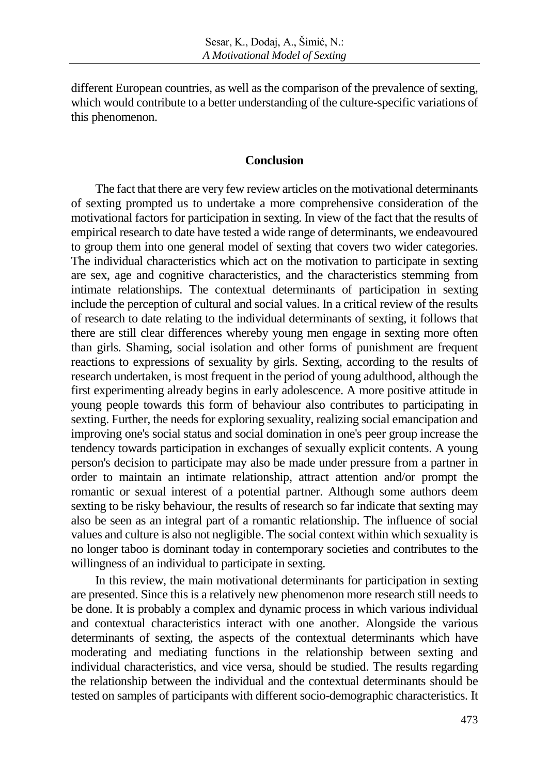different European countries, as well as the comparison of the prevalence of sexting, which would contribute to a better understanding of the culture-specific variations of this phenomenon.

#### **Conclusion**

The fact that there are very few review articles on the motivational determinants of sexting prompted us to undertake a more comprehensive consideration of the motivational factors for participation in sexting. In view of the fact that the results of empirical research to date have tested a wide range of determinants, we endeavoured to group them into one general model of sexting that covers two wider categories. The individual characteristics which act on the motivation to participate in sexting are sex, age and cognitive characteristics, and the characteristics stemming from intimate relationships. The contextual determinants of participation in sexting include the perception of cultural and social values. In a critical review of the results of research to date relating to the individual determinants of sexting, it follows that there are still clear differences whereby young men engage in sexting more often than girls. Shaming, social isolation and other forms of punishment are frequent reactions to expressions of sexuality by girls. Sexting, according to the results of research undertaken, is most frequent in the period of young adulthood, although the first experimenting already begins in early adolescence. A more positive attitude in young people towards this form of behaviour also contributes to participating in sexting. Further, the needs for exploring sexuality, realizing social emancipation and improving one's social status and social domination in one's peer group increase the tendency towards participation in exchanges of sexually explicit contents. A young person's decision to participate may also be made under pressure from a partner in order to maintain an intimate relationship, attract attention and/or prompt the romantic or sexual interest of a potential partner. Although some authors deem sexting to be risky behaviour, the results of research so far indicate that sexting may also be seen as an integral part of a romantic relationship. The influence of social values and culture is also not negligible. The social context within which sexuality is no longer taboo is dominant today in contemporary societies and contributes to the willingness of an individual to participate in sexting.

In this review, the main motivational determinants for participation in sexting are presented. Since this is a relatively new phenomenon more research still needs to be done. It is probably a complex and dynamic process in which various individual and contextual characteristics interact with one another. Alongside the various determinants of sexting, the aspects of the contextual determinants which have moderating and mediating functions in the relationship between sexting and individual characteristics, and vice versa, should be studied. The results regarding the relationship between the individual and the contextual determinants should be tested on samples of participants with different socio-demographic characteristics. It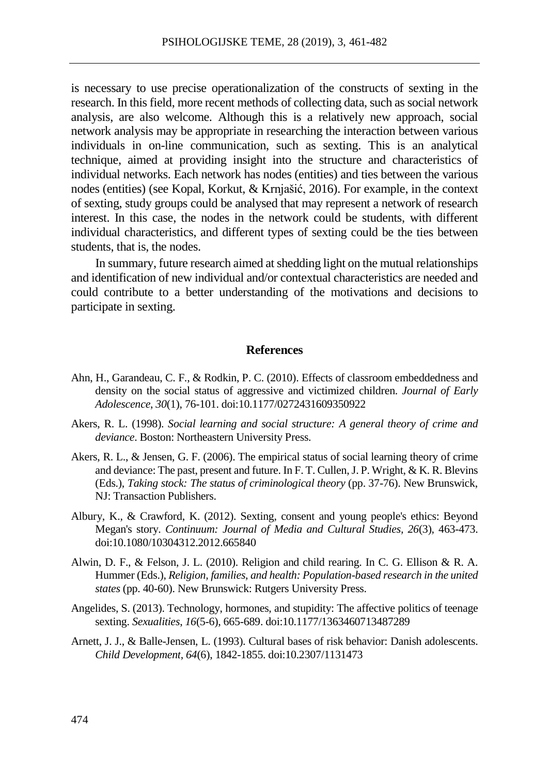is necessary to use precise operationalization of the constructs of sexting in the research. In this field, more recent methods of collecting data, such as social network analysis, are also welcome. Although this is a relatively new approach, social network analysis may be appropriate in researching the interaction between various individuals in on-line communication, such as sexting. This is an analytical technique, aimed at providing insight into the structure and characteristics of individual networks. Each network has nodes (entities) and ties between the various nodes (entities) (see Kopal, Korkut, & Krnjašić, 2016). For example, in the context of sexting, study groups could be analysed that may represent a network of research interest. In this case, the nodes in the network could be students, with different individual characteristics, and different types of sexting could be the ties between students, that is, the nodes.

In summary, future research aimed atshedding light on the mutual relationships and identification of new individual and/or contextual characteristics are needed and could contribute to a better understanding of the motivations and decisions to participate in sexting.

#### **References**

- Ahn, H., Garandeau, C. F., & Rodkin, P. C. (2010). Effects of classroom embeddedness and density on the social status of aggressive and victimized children. *Journal of Early Adolescence*, *30*(1), 76-101. doi[:10.1177/0272431609350922](http://psycnet.apa.org/doi/10.1177/0272431609350922)
- Akers, R. L. (1998). *Social learning and social structure: A general theory of crime and deviance*. Boston: Northeastern University Press.
- Akers, R. L., & Jensen, G. F. (2006). The empirical status of social learning theory of crime and deviance: The past, present and future. In F. T. Cullen,J. P. Wright, & K. R. Blevins (Eds.), *Taking stock: The status of criminological theory* (pp. 37-76). New Brunswick, NJ: Transaction Publishers.
- Albury, K., & Crawford, K. (2012). Sexting, consent and young people's ethics: Beyond Megan's story. *Continuum: Journal of Media and Cultural Studies, 26*(3), 463-473. doi:10.1080/10304312.2012.665840
- Alwin, D. F., & Felson, J. L. (2010). Religion and child rearing. In C. G. Ellison & R. A. Hummer (Eds.), *Religion, families, and health: Population-based research in the united states* (pp. 40-60). New Brunswick: Rutgers University Press.
- Angelides, S. (2013). Technology, hormones, and stupidity: The affective politics of teenage sexting. *Sexualities*, *16*(5-6), 665-689. doi:10.1177/1363460713487289
- Arnett, J. J., & Balle-Jensen, L. (1993). Cultural bases of risk behavior: Danish adolescents. *Child Development*, *64*(6), 1842-1855. doi:10.2307/1131473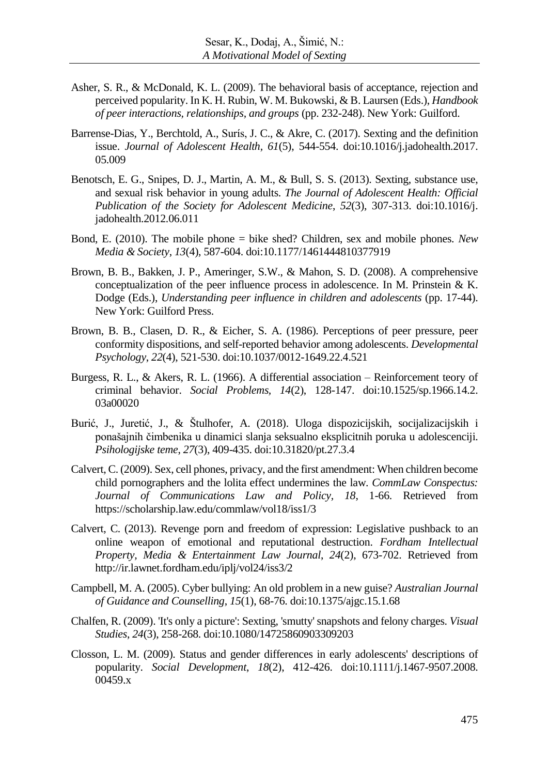- Asher, S. R., & McDonald, K. L. (2009). The behavioral basis of acceptance, rejection and perceived popularity. In K. H. Rubin, W. M. Bukowski, & B. Laursen (Eds.), *Handbook of peer interactions, relationships, and groups* (pp. 232-248). New York: Guilford.
- Barrense-Dias, Y., Berchtold, A., Surís, J. C., & Akre, C. (2017). Sexting and the definition issue. *Journal of Adolescent Health, 61*(5), 544-554. doi:10.1016/j.jadohealth.2017. 05.009
- Benotsch, E. G., Snipes, D. J., Martin, A. M., & Bull, S. S. (2013). Sexting, substance use, and sexual risk behavior in young adults. *The Journal of Adolescent Health: Official Publication of the Society for Adolescent Medicine*, *52*(3), 307-313. doi:10.1016/j. jadohealth.2012.06.011
- Bond, E. (2010). The mobile phone = bike shed? Children, sex and mobile phones. *New Media & Society*, *13*(4), 587-604. doi:10.1177/1461444810377919
- Brown, B. B., Bakken, J. P., Ameringer, S.W., & Mahon, S. D. (2008). A comprehensive conceptualization of the peer influence process in adolescence. In M. Prinstein & K. Dodge (Eds.), *Understanding peer influence in children and adolescents* (pp. 17-44). New York: Guilford Press.
- Brown, B. B., Clasen, D. R., & Eicher, S. A. (1986). Perceptions of peer pressure, peer conformity dispositions, and self-reported behavior among adolescents. *Developmental Psychology*, *22*(4), 521-530. doi:10.1037/0012-1649.22.4.521
- Burgess, R. L., & Akers, R. L. (1966). A differential association Reinforcement teory of criminal behavior. *Social Problems, 14*(2), 128-147. doi:10.1525/sp.1966.14.2. 03a00020
- Burić, J., Juretić, J., & Štulhofer, A. (2018). Uloga dispozicijskih, socijalizacijskih i ponašajnih čimbenika u dinamici slanja seksualno eksplicitnih poruka u adolescenciji. *Psihologijske teme*, *27*(3), 409-435. doi:10.31820/pt.27.3.4
- Calvert, C. (2009). Sex, cell phones, privacy, and the first amendment: When children become child pornographers and the lolita effect undermines the law. *CommLaw Conspectus: Journal of Communications Law and Policy, 18*, 1-66. Retrieved from https://scholarship.law.edu/commlaw/vol18/iss1/3
- Calvert, C. (2013). Revenge porn and freedom of expression: Legislative pushback to an online weapon of emotional and reputational destruction. *Fordham Intellectual Property, Media & Entertainment Law Journal*, *24*(2), 673-702. Retrieved from http://ir.lawnet.fordham.edu/iplj/vol24/iss3/2
- Campbell, M. A. (2005). Cyber bullying: An old problem in a new guise? *Australian Journal of Guidance and Counselling*, *15*(1), 68-76. [doi:10.1375/ajgc.15.1.68](http://dx.doi.org/10.1375/ajgc.15.1.68)
- Chalfen, R. (2009). 'It's only a picture': Sexting, 'smutty' snapshots and felony charges. *Visual Studies*, *24*(3), 258-268. [doi:10.1080/14725860903309203](http://dx.doi.org/10.1080/14725860903309203)
- Closson, L. M. (2009). Status and gender differences in early adolescents' descriptions of popularity. *Social Development*, *18*(2), 412-426. [doi:10.1111/j.1467-9507.2008.](http://psycnet.apa.org/doi/10.1111/j.1467-9507.2008.00459.x) [00459.x](http://psycnet.apa.org/doi/10.1111/j.1467-9507.2008.00459.x)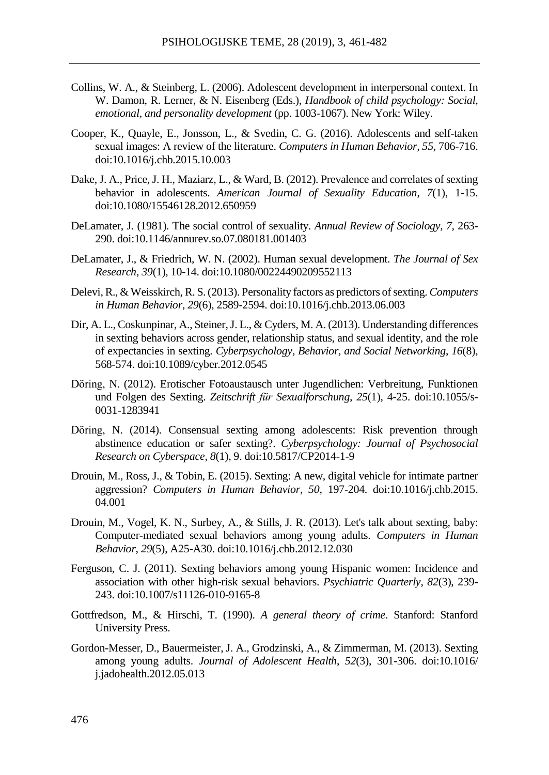- Collins, W. A., & Steinberg, L. (2006). Adolescent development in interpersonal context. In W. Damon, R. Lerner, & N. Eisenberg (Eds.), *Handbook of child psychology: Social, emotional, and personality development* (pp. 1003-1067). New York: Wiley.
- Cooper, K., Quayle, E., Jonsson, L., & Svedin, C. G. (2016). Adolescents and self-taken sexual images: A review of the literature. *Computers in Human Behavior, 55*, 706-716. doi:10.1016/j.chb.2015.10.003
- Dake, J. A., Price, J. H., Maziarz, L., & Ward, B. (2012). Prevalence and correlates of sexting behavior in adolescents. *American Journal of Sexuality Education*, *7*(1), 1-15. [doi:](file:///C:/Users/irenam/AppData/Nataša/AppData/Local/Temp/doi)10.1080/15546128.2012.650959
- DeLamater, J. (1981). The social control of sexuality. *Annual Review of Sociology, 7,* 263- 290. doi:10.1146/annurev.so.07.080181.001403
- DeLamater, J., & Friedrich, W. N. (2002). Human sexual development. *The Journal of Sex Research*, *39*(1), 10-14. doi:10.1080/00224490209552113
- Delevi, R., & Weisskirch, R. S. (2013). Personality factors as predictors of sexting. *Computers in Human Behavior*, *29*(6), 2589-2594. [doi:](file:///C:/Users/irenam/AppData/Nataša/AppData/Local/Temp/doi)10.1016/j.chb.2013.06.003
- Dir, A. L., Coskunpinar, A., Steiner, J. L., & Cyders, M. A. (2013). Understanding differences in sexting behaviors across gender, relationship status, and sexual identity, and the role of expectancies in sexting. *Cyberpsychology, Behavior, and Social Networking*, *16*(8), 568-574. [doi:10.1089/cyber.2012.0545](https://doi.org/10.1089/cyber.2012.0545)
- Döring, N. (2012). Erotischer Fotoaustausch unter Jugendlichen: Verbreitung, Funktionen und Folgen des Sexting. *Zeitschrift für Sexualforschung, 25*(1), 4-25. [doi:](file:///C:/Users/irenam/AppData/Nataša/AppData/Local/Temp/doi)10.1055/s-0031-1283941
- [Döring,](https://cyberpsychology.eu/about/editorialTeamBioFullProfile/869) N. (2014). Consensual sexting among adolescents: Risk prevention through abstinence education or safer sexting?. *Cyberpsychology: Journal of Psychosocial Research on Cyberspace, 8*(1), 9. [doi:10.5817/CP2014-1-9](http://dx.doi.org/10.5817/CP2014-1-9)
- Drouin, M., Ross, J., & Tobin, E. (2015). Sexting: A new, digital vehicle for intimate partner aggression? *Computers in Human Behavior*, *50*, 197-204. [doi:](file:///C:/Users/irenam/AppData/Nataša/AppData/Local/Temp/doi)10.1016/j.chb.2015. 04.001
- Drouin, M., Vogel, K. N., Surbey, A., & Stills, J. R. (2013). Let's talk about sexting, baby: Computer-mediated sexual behaviors among young adults. *Computers in Human Behavior*, *29*(5), A25-A30. doi:10.1016/j.chb.2012.12.030
- Ferguson, C. J. (2011). Sexting behaviors among young Hispanic women: Incidence and association with other high-risk sexual behaviors. *Psychiatric Quarterly*, *82*(3), 239- 243. [doi:](file:///C:/Users/irenam/AppData/Nataša/AppData/Local/Temp/doi)10.1007/s11126-010-9165-8
- Gottfredson, M., & Hirschi, T. (1990). *A general theory of crime*. Stanford: Stanford University Press.
- Gordon-Messer, D., Bauermeister, J. A., Grodzinski, A., & Zimmerman, M. (2013). Sexting among young adults. *Journal of Adolescent Health*, *52*(3), 301-306. do[i:10.1016/](https://dx.doi.org/10.1016%2Fj.jadohealth.2012.05.013) [j.jadohealth.2012.05.013](https://dx.doi.org/10.1016%2Fj.jadohealth.2012.05.013)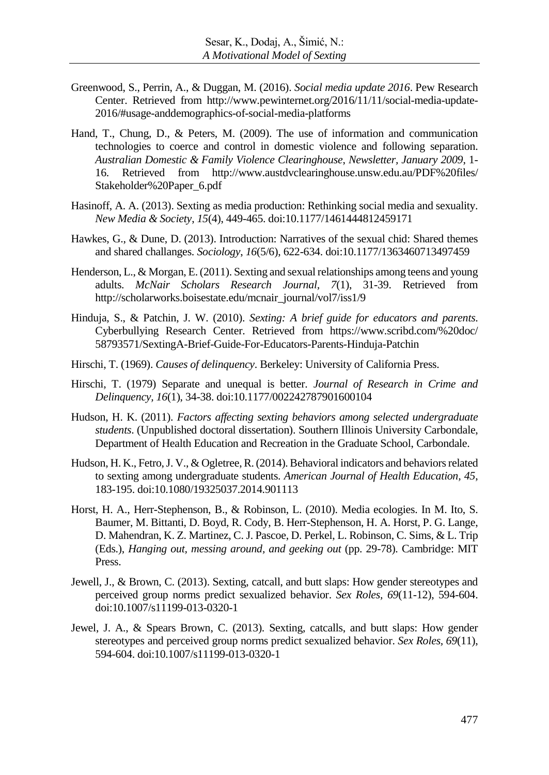- Greenwood, S., Perrin, A., & Duggan, M. (2016). *Social media update 2016*. Pew Research Center. Retrieved from http://www.pewinternet.org/2016/11/11/social-media-update-2016/#usage-anddemographics-of-social-media-platforms
- Hand, T., Chung, D., & Peters, M. (2009). The use of information and communication technologies to coerce and control in domestic violence and following separation. *Australian Domestic & Family Violence Clearinghouse*, *Newsletter, January 2009*, 1- 16. Retrieved from http://www.austdvclearinghouse.unsw.edu.au/PDF%20files/ Stakeholder%20Paper\_6.pdf
- Hasinoff, A. A. (2013). Sexting as media production: Rethinking social media and sexuality. *New Media & [Society](http://nms.sagepub.com/content/15/4/449.abstract?etoc)*, *15*(4), 449-465. [doi:](file:///C:/Users/irenam/AppData/Nataša/AppData/Local/Temp/doi)10.1177/1461444812459171
- Hawkes, G., & Dune, D. (2013). Introduction: Narratives of the sexual chid: Shared themes and shared challanges. *Sociology*, *16*(5/6), 622-634. [doi:](file:///C:/Users/irenam/AppData/Nataša/AppData/Local/Temp/doi)10.1177/1363460713497459
- Henderson, L., & Morgan, E.(2011). Sexting and sexual relationships among teens and young adults. *McNair Scholars Research Journal, 7*(1), 31-39. Retrieved from http://scholarworks.boisestate.edu/mcnair\_journal/vol7/iss1/9
- Hinduja, S., & Patchin, J. W. (2010). *Sexting: A brief guide for educators and parents*. Cyberbullying Research Center. Retrieved from https://www.scribd.com/%20doc/ 58793571/SextingA-Brief-Guide-For-Educators-Parents-Hinduja-Patchin
- Hirschi, T. (1969). *Causes of delinquency*. Berkeley: University of California Press.
- Hirschi, T. (1979) Separate and unequal is better. *Journal of Research in Crime and Delinquency, 16*(1), 34-38. doi:10.1177/002242787901600104
- Hudson, H. K. (2011). *Factors affecting sexting behaviors among selected undergraduate students*. (Unpublished doctoral dissertation). Southern Illinois University Carbondale, Department of Health Education and Recreation in the Graduate School, Carbondale.
- Hudson, H. K., Fetro, J. V., & Ogletree, R. (2014). Behavioral indicators and behaviors related to sexting among undergraduate students. *American Journal of Health Education, 45*, 183-195. doi:10.1080/19325037.2014.901113
- Horst, H. A., Herr-Stephenson, B., & Robinson, L. (2010). Media ecologies. In M. Ito, S. Baumer, M. Bittanti, D. Boyd, R. Cody, B. Herr-Stephenson, H. A. Horst, P. G. Lange, D. Mahendran, K. Z. Martinez, C. J. Pascoe, D. Perkel, L. Robinson, C. Sims, & L. Trip (Eds.), *Hanging out, messing around, and geeking out* (pp. 29-78). Cambridge: MIT Press.
- Jewell, J., & Brown, C. (2013). Sexting, catcall, and butt slaps: How gender stereotypes and perceived group norms predict sexualized behavior. *Sex Roles, 69*(11-12), 594-604. doi:10.1007/s11199-013-0320-1
- Jewel, J. A., & Spears Brown, C. (2013). Sexting, catcalls, and butt slaps: How gender stereotypes and perceived group norms predict sexualized behavior. *Sex Roles, 69*(11), 594-604. doi:10.1007/s11199-013-0320-1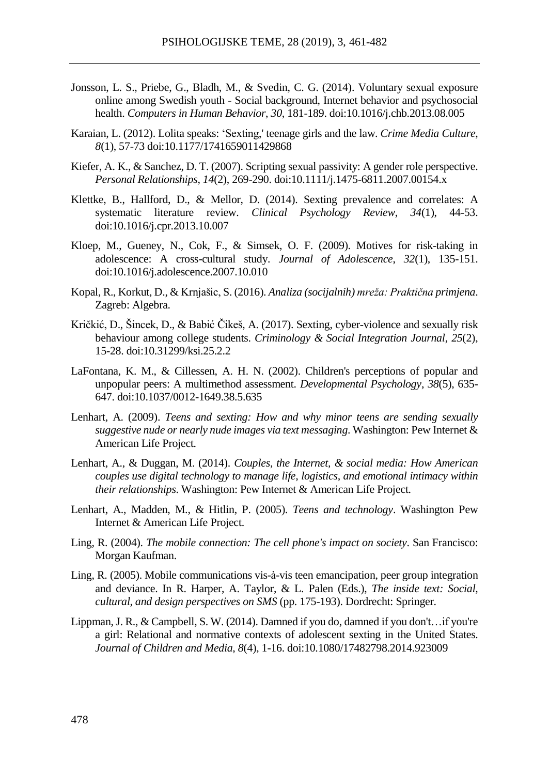- Jonsson, L. S., Priebe, G., Bladh, M., & Svedin, C. G. (2014). [Voluntary](javascript:;) sexual exposure online among Swedish youth - Social background, Internet behavior and [psychosocial](javascript:;) health. *[Computers](javascript:;) in Human Behavior*, *30*, 181-189. doi:10.1016/j.chb.2013.08.005
- Karaian, L. (2012). Lolita speaks: 'Sexting,' teenage girls and the law. *Crime Media Culture*, *8*(1), 57-73 doi:10.1177/1741659011429868
- Kiefer, A. K., & Sanchez, D. T. (2007). Scripting sexual passivity: A gender role perspective. *Personal Relationships*, *14*(2), 269-290. doi:10.1111/j.1475-6811.2007.00154.x
- Klettke, B., Hallford, D., & Mellor, D. (2014). Sexting prevalence and correlates: A systematic literature review. *Clinical Psychology Review*, *34*(1), 44-53. [doi:10.1016/j.cpr.2013.10.007](http://dx.doi.org/10.1016/j.cpr.2013.10.007)
- Kloep, M., Gueney, N., Cok, F., & Simsek, O. F. (2009). Motives for risk-taking in adolescence: A cross-cultural study. *Journal of Adolescence*, *32*(1), 135-151. do[i:10.1016/j.adolescence.2007.10.010](http://dx.doi.org/doi:10.1016/j.adolescence.2007.10.010%20%7C)
- Kopal, R., Korkut, D., & Krnjašic, S. (2016). *Analiza (socijalnih) mreža: Praktična primjena*. Zagreb: Algebra.
- Kričkić, D., Šincek, D., & Babić Čikeš, A. (2017). Sexting, cyber-violence and sexually risk behaviour among college students. *Criminology & Social Integration Journal*, *25*(2), 15-28. doi:10.31299/ksi.25.2.2
- LaFontana, K. M., & Cillessen, A. H. N. (2002). Children's perceptions of popular and unpopular peers: A multimethod assessment. *Developmental Psychology*, *38*(5), 635- 647. [doi:10.1037/0012-1649.38.5.635](doi:%2010.1037/0012-1649.38.5.635)
- Lenhart, A. (2009). *Teens and sexting: How and why minor teens are sending sexually suggestive nude or nearly nude images via text messaging*. Washington: Pew Internet & American Life Project.
- Lenhart, A., & Duggan, M. (2014). *Couples, the Internet, & social media: How American couples use digital technology to manage life, logistics, and emotional intimacy within their relationships*. Washington: Pew Internet & American Life Project.
- Lenhart, A., Madden, M., & Hitlin, P. (2005). *Teens and technology*. Washington Pew Internet & American Life Project.
- Ling, R. (2004). *The mobile connection: The cell phone's impact on society*. San Francisco: Morgan Kaufman.
- Ling, R. (2005). Mobile communications vis-à-vis teen emancipation, peer group integration and deviance. In R. Harper, A. Taylor, & L. Palen (Eds.), *The inside text: Social, cultural, and design perspectives on SMS* (pp. 175-193). Dordrecht: Springer.
- Lippman, J. R., & Campbell, S. W. (2014). Damned if you do, damned if you don't…if you're a girl: Relational and normative contexts of adolescent sexting in the United States. *Journal of Children and Media*, *8*(4), 1-16. [doi](file:///C:/Users/irenam/AppData/Nataša/AppData/Local/Temp/doi)[:10.1080/17482798.2014.923009](http://dx.doi.org/10.1080/17482798.2014.923009)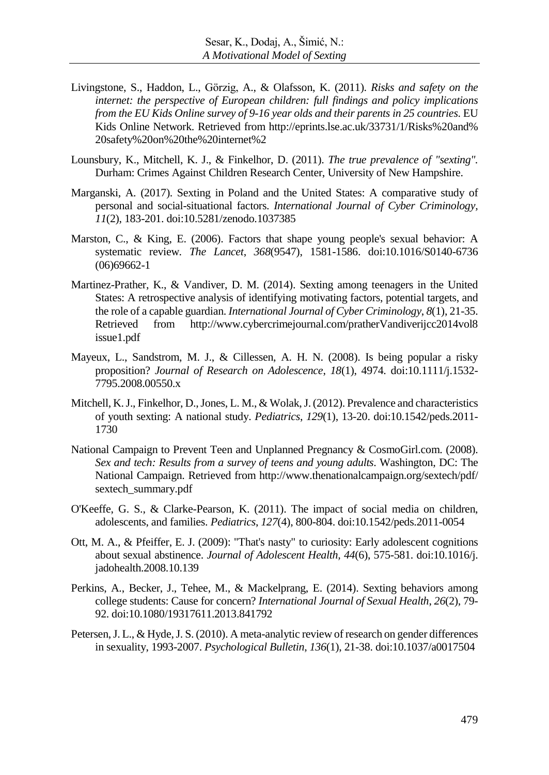- Livingstone, S., Haddon, L., Görzig, A., & Olafsson, K. (2011). *Risks and safety on the internet: the perspective of European children: full findings and policy implications from the EU Kids Online survey of 9-16 year olds and their parents in 25 countries*. EU Kids Online Network. Retrieved from http://eprints.lse.ac.uk/33731/1/Risks%20and% 20safety%20on%20the%20internet%2
- Lounsbury, K., Mitchell, K. J., & Finkelhor, D. (2011). *The true prevalence of "sexting".* Durham: Crimes Against Children Research Center, University of New Hampshire.
- Marganski, A. (2017). Sexting in Poland and the United States: A comparative study of personal and social-situational factors. *International Journal of Cyber Criminology, 11*(2), 183-201. [doi:](file:///C:/Users/irenam/AppData/Nataša/AppData/Local/Temp/doi)10.5281/zenodo.1037385
- Marston, C., & King, E. (2006). Factors that shape young people's sexual behavior: A systematic review. *The Lancet*, *368*(9547), 1581-1586. [doi:10.1016/S0140-6736](doi:%2010.1016/S0140-6736(06)69662-1) [\(06\)69662-1](doi:%2010.1016/S0140-6736(06)69662-1)
- Martinez-Prather, K., & Vandiver, D. M. (2014). Sexting among teenagers in the United States: A retrospective analysis of identifying motivating factors, potential targets, and the role of a capable guardian. *International Journal of Cyber Criminology*, *8*(1), 21-35. Retrieved from http://www.cybercrimejournal.com/pratherVandiverijcc2014vol8 issue1.pdf
- Mayeux, L., Sandstrom, M. J., & Cillessen, A. H. N. (2008). Is being popular a risky proposition? *Journal of Research on Adolescence*, *18*(1), 4974. [doi:](file:///C:/Users/irenam/AppData/Nataša/AppData/Local/Temp/doi)10.1111/j.1532- 7795.2008.00550.x
- Mitchell, K.J., Finkelhor, D.,Jones, L. M., & Wolak,J.(2012). Prevalence and characteristics of youth sexting: A national study. *Pediatrics*, *129*(1), 13-20. [doi:](file:///C:/Users/irenam/AppData/Nataša/AppData/Local/Temp/doi)10.1542/peds.2011- 1730
- National Campaign to Prevent Teen and Unplanned Pregnancy & CosmoGirl.com. (2008). *Sex and tech: Results from a survey of teens and young adults*. Washington, DC: The National Campaign. Retrieved from http://www.thenationalcampaign.org/sextech/pdf/ sextech\_summary.pdf
- O'Keeffe, G. S., & Clarke-Pearson, K. (2011). The impact of social media on children, adolescents, and families. *Pediatrics*, *127*(4), 800-804. doi:10.1542/peds.2011-0054
- Ott, M. A., & Pfeiffer, E. J. (2009): "That's nasty" to curiosity: Early adolescent cognitions about sexual abstinence. *Journal of Adolescent Health, 44*(6), 575-581. doi:10.1016/j. jadohealth.2008.10.139
- Perkins, A., Becker, J., Tehee, M., & Mackelprang, E. (2014). Sexting behaviors among college students: Cause for concern? *International Journal of Sexual Health*, *26*(2), 79- 92. [doi:10.1080/19317611.2013.841792](doi:%2010.1080/19317611.2013.841792)
- Petersen,J. L., & Hyde,J. S. (2010). A meta-analytic review of research on gender differences in sexuality, 1993-2007. *Psychological Bulletin*, *136*(1), 21-38. doi:10.1037/a0017504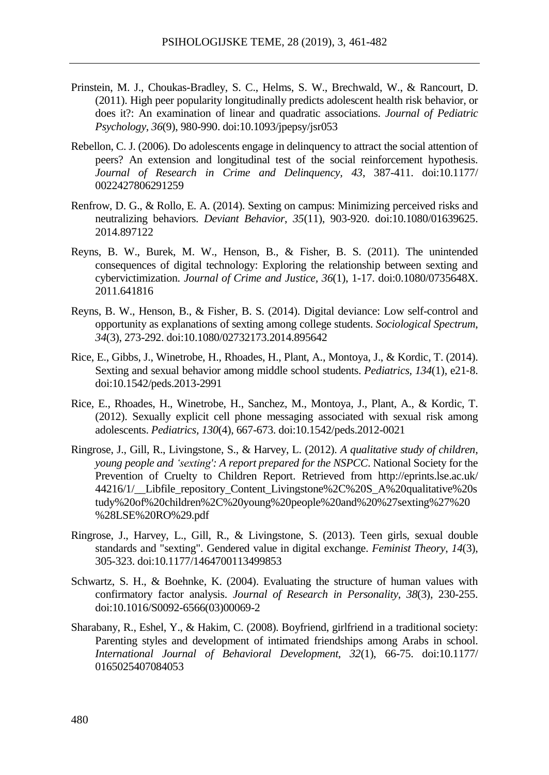- Prinstein, M. J., Choukas-Bradley, S. C., Helms, S. W., Brechwald, W., & Rancourt, D. (2011). High peer popularity longitudinally predicts adolescent health risk behavior, or does it?: An examination of linear and quadratic associations. *Journal of Pediatric Psychology*, *36*(9), 980-990. [doi:10.1093/jpepsy/jsr053](http://psycnet.apa.org/doi/10.1093/jpepsy/jsr053)
- Rebellon, C. J. (2006). Do adolescents engage in delinquency to attract the social attention of peers? An extension and longitudinal test of the social reinforcement hypothesis. *Journal of Research in Crime and Delinquency, 43*, 387-411. doi:10.1177/ 0022427806291259
- Renfrow, D. G., & Rollo, E. A. (2014). Sexting on campus: Minimizing perceived risks and neutralizing behaviors. *Deviant Behavior*, *35*(11), 903-920. [doi:10.1080/01639625.](http://dx.doi.org/10.1080/01639625.2014.897122) [2014.897122](http://dx.doi.org/10.1080/01639625.2014.897122)
- Reyns, B. W., Burek, M. W., Henson, B., & Fisher, B. S. (2011). The unintended consequences of digital technology: Exploring the relationship between sexting and cybervictimization. *Journal of Crime and Justice, 36*(1), 1-17. doi:0.1080/0735648X. 2011.641816
- Reyns, B. W., Henson, B., & Fisher, B. S. (2014). Digital deviance: Low self-control and opportunity as explanations of sexting among college students. *Sociological Spectrum*, *34*(3), 273-292. doi[:10.1080/02732173.2014.895642](http://doi.org/10.1080/02732173.2014.895642)
- Rice, E., Gibbs, J., Winetrobe, H., Rhoades, H., Plant, A., Montoya, J., & Kordic, T. (2014). Sexting and sexual behavior among middle school students. *Pediatrics, 134*(1), e21‐8. doi:10.1542/peds.2013-2991
- Rice, E., Rhoades, H., Winetrobe, H., Sanchez, M., Montoya, J., Plant, A., & Kordic, T. (2012). Sexually explicit cell phone messaging associated with sexual risk among adolescents. *Pediatrics, 130*(4), 667-673. [doi](file:///C:/Users/irenam/AppData/Nataša/AppData/Local/Temp/doi)[:10.1542/peds.2012-0021](https://dx.doi.org/10.1542%2Fpeds.2012-0021)
- Ringrose, J., Gill, R., Livingstone, S., & Harvey, L. (2012). *A qualitative study of children, young people and 'sexting': A report prepared for the NSPCC*. National Society for the Prevention of Cruelty to Children Report. Retrieved from http://eprints.lse.ac.uk/ 44216/1/ Libfile repository Content Livingstone%2C%20S A%20qualitative%20s tudy%20of%20children%2C%20young%20people%20and%20%27sexting%27%20 %28LSE%20RO%29.pdf
- Ringrose, J., Harvey, L., Gill, R., & Livingstone, S. (2013). Teen girls, sexual double standards and "sexting". Gendered value in digital exchange. *Feminist Theory*, *14*(3), 305-323. do[i:10.1177/1464700113499853](http://dx.doi.org/10.1177/1464700113499853)
- Schwartz, S. H., & Boehnke, K. (2004). Evaluating the structure of human values with confirmatory factor analysis. *Journal of Research in Personality*, *38*(3), 230-255. [doi:10.1016/S0092-6566\(03\)00069-2](http://psycnet.apa.org/doi/10.1016/S0092-6566(03)00069-2)
- Sharabany, R., Eshel, Y., & Hakim, C. (2008). Boyfriend, girlfriend in a traditional society: Parenting styles and development of intimated friendships among Arabs in school. *International Journal of Behavioral Development*, *32*(1), 66-75. [doi:](file:///C:/Users/irenam/AppData/Nataša/AppData/Local/Temp/doi)10.1177/ 0165025407084053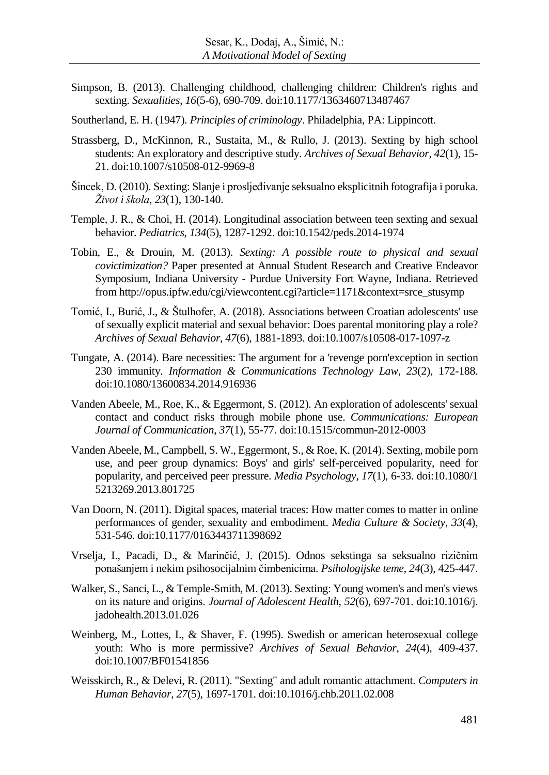- Simpson, B. (2013). Challenging childhood, challenging children: Children's rights and sexting. *Sexualities*, *16*(5-6), 690-709. [doi:10.1177/1363460713487467](doi:%2010.1177/1363460713487467)
- Southerland, E. H. (1947). *Principles of criminology*. Philadelphia, PA: Lippincott.
- Strassberg, D., McKinnon, R., Sustaita, M., & Rullo, J. (2013). Sexting by high school students: An exploratory and descriptive study. *Archives of Sexual Behavior*, *42*(1), 15- 21. [doi:](file:///C:/Users/irenam/AppData/Nataša/AppData/Local/Temp/doi)10.1007/s10508-012-9969-8
- Šincek, D. (2010). Sexting: Slanje i prosljeđivanje seksualno eksplicitnih fotografija i poruka. *Život i škola*, *23*(1), 130-140.
- Temple, J. R., & Choi, H. (2014). Longitudinal association between teen sexting and sexual behavior. *Pediatrics*, *134*(5), 1287-1292. [doi:10.1542/peds.2014-1974](https://doi.org/10.1542/peds.2014-1974)
- Tobin, E., & Drouin, M. (2013). *Sexting: A possible route to physical and sexual covictimization?* Paper presented at Annual Student Research and Creative Endeavor Symposium, Indiana University - Purdue University Fort Wayne, Indiana. Retrieved from http://opus.ipfw.edu/cgi/viewcontent.cgi?article=1171&context=srce\_stusymp
- Tomić, I., Burić, J., & Štulhofer, A. (2018). Associations between Croatian adolescents' use of sexually explicit material and sexual behavior: Does parental monitoring play a role? *Archives of Sexual Behavior*, *47*(6), 1881-1893. doi[:10.1007/s10508-017-1097-z](https://doi.org/10.1007/s10508-017-1097-z)
- Tungate, A. (2014). Bare necessities: The argument for a 'revenge porn'exception in section 230 immunity. *Information & Communications Technology Law, 23*(2), 172-188. doi:10.1080/13600834.2014.916936
- Vanden Abeele, M., Roe, K., & Eggermont, S. (2012). An exploration of adolescents' sexual contact and conduct risks through mobile phone use. *Communications: European Journal of Communication*, *37*(1), 55-77. doi:10.1515/commun-2012-0003
- Vanden Abeele, M., Campbell, S. W., Eggermont, S., & Roe, K. (2014). Sexting, mobile porn use, and peer group dynamics: Boys' and girls' self-perceived popularity, need for popularity, and perceived peer pressure. *Media Psychology*, *17*(1), 6-33. [doi:](file:///C:/Users/irenam/AppData/Nataša/AppData/Local/Temp/doi)10.1080/1 5213269.2013.801725
- Van Doorn, N. (2011). Digital spaces, material traces: How matter comes to matter in online performances of gender, sexuality and embodiment. *Media Culture & Society*, *33*(4), 531-546. [doi:10.1177/0163443711398692](doi:%2010.1177/0163443711398692)
- Vrselja, I., Pacadi, D., & Marinčić, J. (2015). Odnos sekstinga sa seksualno rizičnim ponašanjem i nekim psihosocijalnim čimbenicima. *Psihologijske teme*, *24*(3), 425-447.
- Walker, S., Sanci, L., & Temple-Smith, M. (2013). Sexting: Young women's and men's views on its nature and origins. *Journal of Adolescent Health*, *52*(6), 697-701. [doi:](file:///C:/Users/irenam/AppData/Nataša/AppData/Local/Temp/doi)10.1016/j. jadohealth.2013.01.026
- Weinberg, M., Lottes, I., & Shaver, F. (1995). Swedish or american heterosexual college youth: Who is more permissive? *Archives of Sexual Behavior*, *24*(4), 409-437. doi:10.1007/BF01541856
- Weisskirch, R., & Delevi, R. (2011). "Sexting" and adult romantic attachment. *Computers in Human Behavior*, *27*(5), 1697-1701. [doi:](file:///C:/Users/irenam/AppData/Nataša/AppData/Local/Temp/doi)10.1016/j.chb.2011.02.008